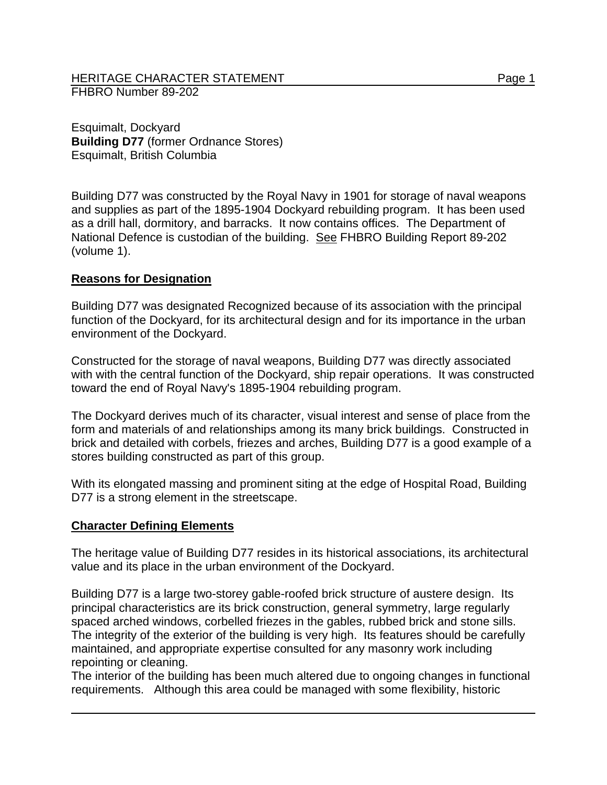Esquimalt, Dockyard **Building D77** (former Ordnance Stores) Esquimalt, British Columbia

Building D77 was constructed by the Royal Navy in 1901 for storage of naval weapons and supplies as part of the 1895-1904 Dockyard rebuilding program. It has been used as a drill hall, dormitory, and barracks. It now contains offices. The Department of National Defence is custodian of the building. See FHBRO Building Report 89-202 (volume 1).

## **Reasons for Designation**

Building D77 was designated Recognized because of its association with the principal function of the Dockyard, for its architectural design and for its importance in the urban environment of the Dockyard.

Constructed for the storage of naval weapons, Building D77 was directly associated with with the central function of the Dockyard, ship repair operations. It was constructed toward the end of Royal Navy's 1895-1904 rebuilding program.

The Dockyard derives much of its character, visual interest and sense of place from the form and materials of and relationships among its many brick buildings. Constructed in brick and detailed with corbels, friezes and arches, Building D77 is a good example of a stores building constructed as part of this group.

With its elongated massing and prominent siting at the edge of Hospital Road, Building D77 is a strong element in the streetscape.

## **Character Defining Elements**

The heritage value of Building D77 resides in its historical associations, its architectural value and its place in the urban environment of the Dockyard.

Building D77 is a large two-storey gable-roofed brick structure of austere design. Its principal characteristics are its brick construction, general symmetry, large regularly spaced arched windows, corbelled friezes in the gables, rubbed brick and stone sills. The integrity of the exterior of the building is very high. Its features should be carefully maintained, and appropriate expertise consulted for any masonry work including repointing or cleaning.

The interior of the building has been much altered due to ongoing changes in functional requirements. Although this area could be managed with some flexibility, historic